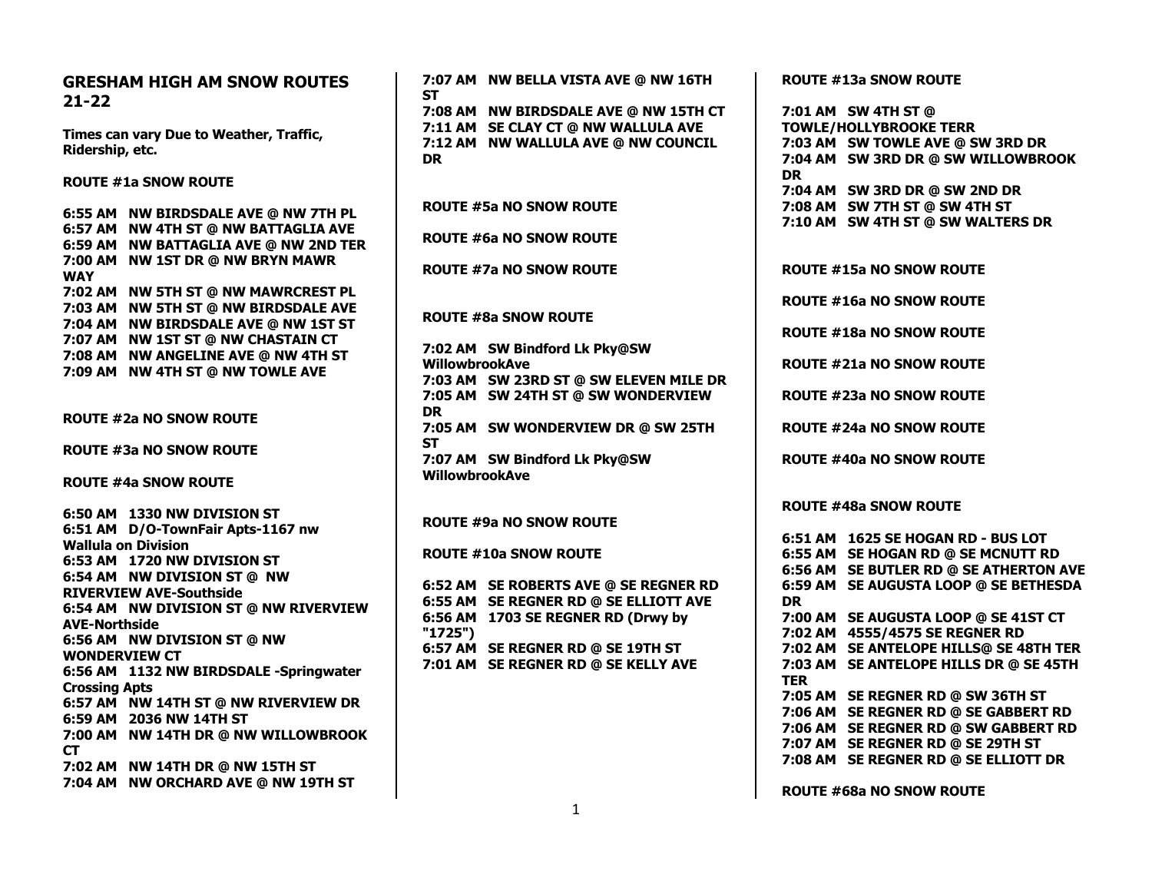| <b>GRESHAM HIGH AM SNOW ROUTES</b>      | 7:07 AM NW BELLA VISTA AVE @ NW 16TH   | <b>ROUTE #13a SNOW ROUTE</b>           |
|-----------------------------------------|----------------------------------------|----------------------------------------|
| $21 - 22$                               | <b>ST</b>                              |                                        |
|                                         | 7:08 AM NW BIRDSDALE AVE @ NW 15TH CT  | 7:01 AM SW 4TH ST @                    |
| Times can vary Due to Weather, Traffic, | 7:11 AM SE CLAY CT @ NW WALLULA AVE    | <b>TOWLE/HOLLYBROOKE TERR</b>          |
| Ridership, etc.                         | 7:12 AM NW WALLULA AVE @ NW COUNCIL    | 7:03 AM SW TOWLE AVE @ SW 3RD DR       |
|                                         | <b>DR</b>                              | 7:04 AM SW 3RD DR @ SW WILLOWBROOK     |
| <b>ROUTE #1a SNOW ROUTE</b>             |                                        | <b>DR</b>                              |
|                                         |                                        | 7:04 AM SW 3RD DR @ SW 2ND DR          |
| 6:55 AM NW BIRDSDALE AVE @ NW 7TH PL    | <b>ROUTE #5a NO SNOW ROUTE</b>         | 7:08 AM SW 7TH ST @ SW 4TH ST          |
| 6:57 AM NW 4TH ST @ NW BATTAGLIA AVE    |                                        | 7:10 AM SW 4TH ST @ SW WALTERS DR      |
| 6:59 AM NW BATTAGLIA AVE @ NW 2ND TER   | <b>ROUTE #6a NO SNOW ROUTE</b>         |                                        |
| 7:00 AM NW 1ST DR @ NW BRYN MAWR        |                                        |                                        |
| <b>WAY</b>                              | <b>ROUTE #7a NO SNOW ROUTE</b>         | <b>ROUTE #15a NO SNOW ROUTE</b>        |
|                                         |                                        |                                        |
| 7:02 AM NW 5TH ST @ NW MAWRCREST PL     |                                        | <b>ROUTE #16a NO SNOW ROUTE</b>        |
| 7:03 AM NW 5TH ST @ NW BIRDSDALE AVE    | <b>ROUTE #8a SNOW ROUTE</b>            |                                        |
| 7:04 AM NW BIRDSDALE AVE @ NW 1ST ST    |                                        | <b>ROUTE #18a NO SNOW ROUTE</b>        |
| 7:07 AM NW 1ST ST @ NW CHASTAIN CT      | 7:02 AM SW Bindford Lk Pky@SW          |                                        |
| 7:08 AM NW ANGELINE AVE @ NW 4TH ST     | <b>WillowbrookAve</b>                  | <b>ROUTE #21a NO SNOW ROUTE</b>        |
| 7:09 AM NW 4TH ST @ NW TOWLE AVE        | 7:03 AM SW 23RD ST @ SW ELEVEN MILE DR |                                        |
|                                         | 7:05 AM SW 24TH ST @ SW WONDERVIEW     | <b>ROUTE #23a NO SNOW ROUTE</b>        |
|                                         | <b>DR</b>                              |                                        |
| <b>ROUTE #2a NO SNOW ROUTE</b>          | 7:05 AM SW WONDERVIEW DR @ SW 25TH     | <b>ROUTE #24a NO SNOW ROUTE</b>        |
|                                         | <b>ST</b>                              |                                        |
| <b>ROUTE #3a NO SNOW ROUTE</b>          | 7:07 AM SW Bindford Lk Pky@SW          | <b>ROUTE #40a NO SNOW ROUTE</b>        |
|                                         | <b>WillowbrookAve</b>                  |                                        |
| <b>ROUTE #4a SNOW ROUTE</b>             |                                        |                                        |
|                                         |                                        | <b>ROUTE #48a SNOW ROUTE</b>           |
| 6:50 AM 1330 NW DIVISION ST             | <b>ROUTE #9a NO SNOW ROUTE</b>         |                                        |
| 6:51 AM D/O-TownFair Apts-1167 nw       |                                        | 6:51 AM 1625 SE HOGAN RD - BUS LOT     |
| <b>Wallula on Division</b>              | <b>ROUTE #10a SNOW ROUTE</b>           | 6:55 AM SE HOGAN RD @ SE MCNUTT RD     |
| 6:53 AM 1720 NW DIVISION ST             |                                        | 6:56 AM SE BUTLER RD @ SE ATHERTON AVE |
| 6:54 AM NW DIVISION ST @ NW             | 6:52 AM SE ROBERTS AVE @ SE REGNER RD  | 6:59 AM SE AUGUSTA LOOP @ SE BETHESDA  |
| <b>RIVERVIEW AVE-Southside</b>          | 6:55 AM SE REGNER RD @ SE ELLIOTT AVE  | <b>DR</b>                              |
| 6:54 AM NW DIVISION ST @ NW RIVERVIEW   | 6:56 AM 1703 SE REGNER RD (Drwy by     | 7:00 AM SE AUGUSTA LOOP @ SE 41ST CT   |
| <b>AVE-Northside</b>                    | "1725"                                 | 7:02 AM 4555/4575 SE REGNER RD         |
| 6:56 AM NW DIVISION ST @ NW             | 6:57 AM SE REGNER RD @ SE 19TH ST      | 7:02 AM SE ANTELOPE HILLS@ SE 48TH TER |
| <b>WONDERVIEW CT</b>                    |                                        |                                        |
| 6:56 AM 1132 NW BIRDSDALE -Springwater  | 7:01 AM SE REGNER RD @ SE KELLY AVE    | 7:03 AM SE ANTELOPE HILLS DR @ SE 45TH |
| <b>Crossing Apts</b>                    |                                        | <b>TER</b>                             |
| 6:57 AM NW 14TH ST @ NW RIVERVIEW DR    |                                        | 7:05 AM SE REGNER RD @ SW 36TH ST      |
| 6:59 AM 2036 NW 14TH ST                 |                                        | 7:06 AM SE REGNER RD @ SE GABBERT RD   |
| 7:00 AM NW 14TH DR @ NW WILLOWBROOK     |                                        | 7:06 AM SE REGNER RD @ SW GABBERT RD   |
| <b>CT</b>                               |                                        | 7:07 AM SE REGNER RD @ SE 29TH ST      |
| 7:02 AM NW 14TH DR @ NW 15TH ST         |                                        | 7:08 AM SE REGNER RD @ SE ELLIOTT DR   |
| 7:04 AM NW ORCHARD AVE @ NW 19TH ST     |                                        |                                        |
|                                         |                                        | <b>BAUTE #60- NO GUOVEDOUTE</b>        |

**ROUTE #68a NO SNOW ROUTE**